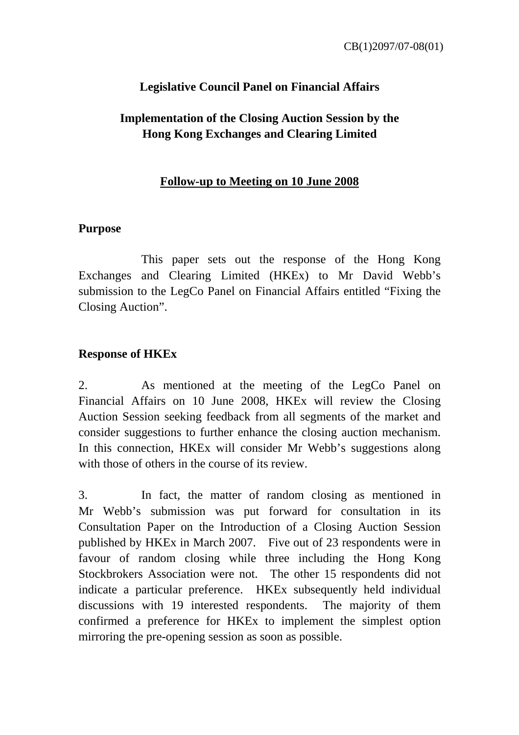## **Legislative Council Panel on Financial Affairs**

# **Implementation of the Closing Auction Session by the Hong Kong Exchanges and Clearing Limited**

#### **Follow-up to Meeting on 10 June 2008**

#### **Purpose**

 This paper sets out the response of the Hong Kong Exchanges and Clearing Limited (HKEx) to Mr David Webb's submission to the LegCo Panel on Financial Affairs entitled "Fixing the Closing Auction".

### **Response of HKEx**

2. As mentioned at the meeting of the LegCo Panel on Financial Affairs on 10 June 2008, HKEx will review the Closing Auction Session seeking feedback from all segments of the market and consider suggestions to further enhance the closing auction mechanism. In this connection, HKEx will consider Mr Webb's suggestions along with those of others in the course of its review.

3. In fact, the matter of random closing as mentioned in Mr Webb's submission was put forward for consultation in its Consultation Paper on the Introduction of a Closing Auction Session published by HKEx in March 2007. Five out of 23 respondents were in favour of random closing while three including the Hong Kong Stockbrokers Association were not. The other 15 respondents did not indicate a particular preference. HKEx subsequently held individual discussions with 19 interested respondents. The majority of them confirmed a preference for HKEx to implement the simplest option mirroring the pre-opening session as soon as possible.